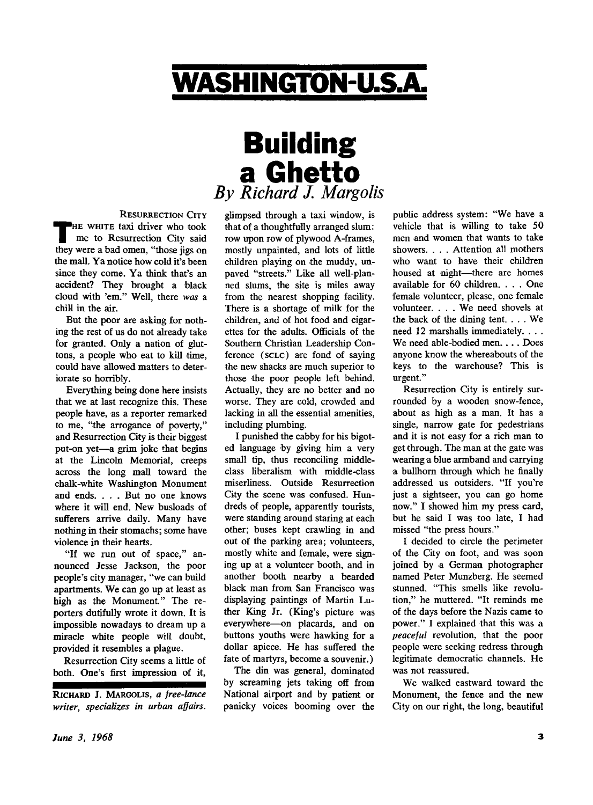## WASHINGTON-U.S.A.

## **Building** a Ghetto *By Richard J. Margolis*

**RESURRECTION CITY**  THE WHITE taxi driver who took<br>me to Resurrection City said<br>they were a bad omen, "those jigs on **HE WHITE** taxi driver who took me to Resurrection City said the mall. Ya notice how cold it's been since they come. Ya think that's an accident? They brought a black cloud with 'em." Well, there *was* a chill in the air.

But the poor are asking for nothing the rest of us do not already take for granted. Only a nation of gluttons, a people who eat to kill time, could have allowed matters to deteriorate so horribly.

Everything being done here insists that we at last recognize this. These people have, as a reporter remarked to me, "the arrogance of poverty," and Resurrection City is their biggest put-on yet—a grim joke that begins at the Lincoln Memorial, creeps across the long mall toward the chalk-white Washington Monument and ends. . . . But no one knows where it will end. New busloads of sufferers arrive daily. Many have nothing in their stomachs; some have violence in their hearts.

"If we run out of space," announced Jesse Jackson, the poor people's city manager, "we can build apartments. We can go up at least as high as the Monument." The reporters dutifully wrote it down. It is impossible nowadays to dream up a miracle white people will doubt, provided it resembles a plague.

Resurrection City seems a little of both. One's first impression of it,

**RICHARD** J. **MARGOLIS,** *a free-lance writer, specializes in urban affairs.*  glimpsed through a taxi window, is that of a thoughtfully arranged slum: row upon row of plywood A-frames, mostly unpainted, and lots of little children playing on the muddy, unpaved "streets." Like all well-planned slums, the site is miles away from the nearest shopping facility. There is a shortage of milk for the children, and of hot food and cigarettes for the adults. Officials of the Southern Christian Leadership Conference (**SCLC**) are fond of saying the new shacks are much superior to those the poor people left behind. Actually, they are no better and no worse. They are cold, crowded and lacking in all the essential amenities, including plumbing.

I punished the cabby for his bigoted language by giving him a very small tip, thus reconciling middleclass liberalism with middle-class miserliness. Outside Resurrection City the scene was confused. Hundreds of people, apparently tourists, were standing around staring at each other; buses kept crawling in and out of the parking area; volunteers, mostly white and female, were signing up at a volunteer booth, and in another booth nearby a bearded black man from San Francisco was displaying paintings of Martin Luther King Jr. (King's picture was everywhere—on placards, and on buttons youths were hawking for a dollar apiece. He has suffered the fate of martyrs, become a souvenir.)

The din was general, dominated by screaming jets taking off from National airport and by patient or panicky voices booming over the public address system: "We have a vehicle that is willing to take 50 men and women that wants to take showers. . . . Attention all mothers who want to have their children housed at night—there are homes available for 60 children. . . . One female volunteer, please, one female volunteer. . . . We need shovels at the back of the dining tent. . . . We need 12 marshalls immediately. . . . We need able-bodied men. . . . Does anyone know the whereabouts of the keys to the warehouse? This is urgent."

Resurrection City is entirely surrounded by a wooden snow-fence, about as high as a man. It has a single, narrow gate for pedestrians and it is not easy for a rich man to get through. The man at the gate was wearing a blue armband and carrying a bullhorn through which he finally addressed us outsiders. "If you're just a sightseer, you can go home now." I showed him my press card, but he said I was too late, I had missed "the press hours."

I decided to circle the perimeter of the City on foot, and was soon joined by a German photographer named Peter Munzberg. He seemed stunned. "This smells like revolution," he muttered. "It reminds me of the days before the Nazis came to power." I explained that this was a *peaceful* revolution, that the poor people were seeking redress through legitimate democratic channels. He was not reassured.

We walked eastward toward the Monument, the fence and the new City on our right, the long, beautiful